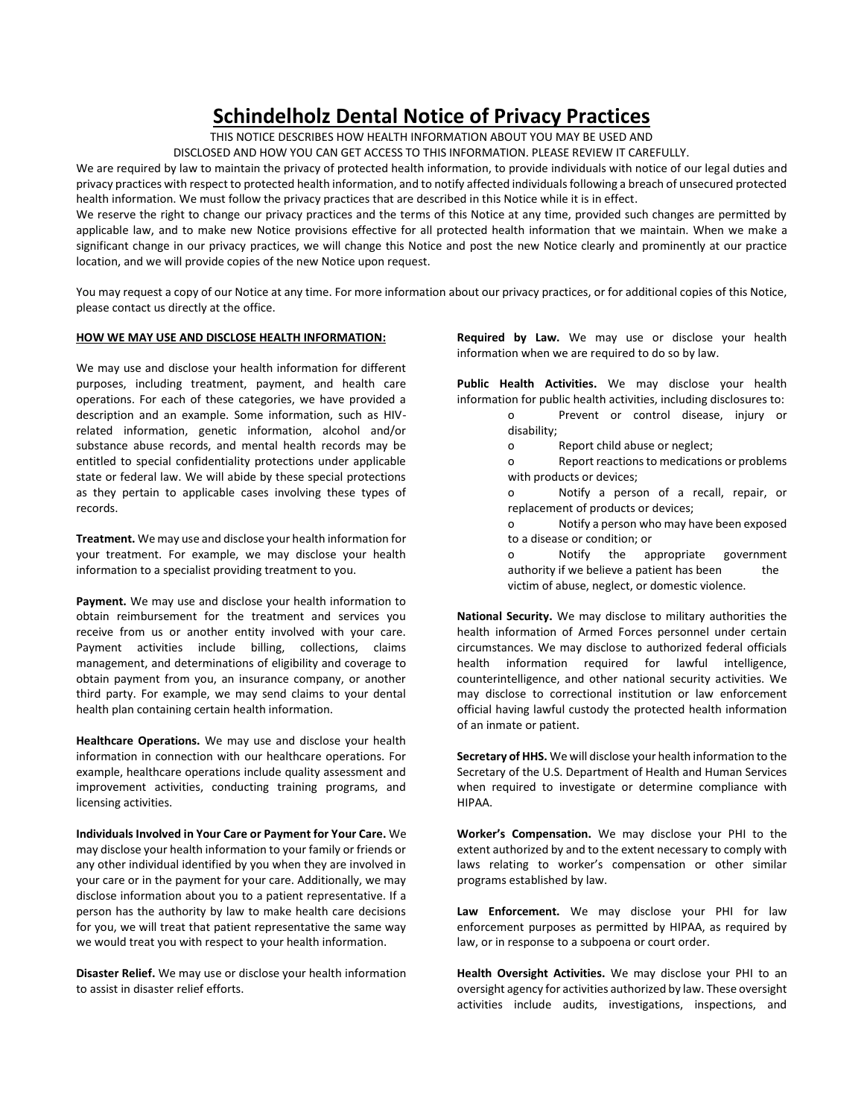## **Schindelholz Dental Notice of Privacy Practices**

THIS NOTICE DESCRIBES HOW HEALTH INFORMATION ABOUT YOU MAY BE USED AND

DISCLOSED AND HOW YOU CAN GET ACCESS TO THIS INFORMATION. PLEASE REVIEW IT CAREFULLY.

We are required by law to maintain the privacy of protected health information, to provide individuals with notice of our legal duties and privacy practices with respect to protected health information, and to notify affected individuals following a breach of unsecured protected health information. We must follow the privacy practices that are described in this Notice while it is in effect.

We reserve the right to change our privacy practices and the terms of this Notice at any time, provided such changes are permitted by applicable law, and to make new Notice provisions effective for all protected health information that we maintain. When we make a significant change in our privacy practices, we will change this Notice and post the new Notice clearly and prominently at our practice location, and we will provide copies of the new Notice upon request.

You may request a copy of our Notice at any time. For more information about our privacy practices, or for additional copies of this Notice, please contact us directly at the office.

### **HOW WE MAY USE AND DISCLOSE HEALTH INFORMATION:**

We may use and disclose your health information for different purposes, including treatment, payment, and health care operations. For each of these categories, we have provided a description and an example. Some information, such as HIVrelated information, genetic information, alcohol and/or substance abuse records, and mental health records may be entitled to special confidentiality protections under applicable state or federal law. We will abide by these special protections as they pertain to applicable cases involving these types of records.

**Treatment.** We may use and disclose your health information for your treatment. For example, we may disclose your health information to a specialist providing treatment to you.

**Payment.** We may use and disclose your health information to obtain reimbursement for the treatment and services you receive from us or another entity involved with your care. Payment activities include billing, collections, claims management, and determinations of eligibility and coverage to obtain payment from you, an insurance company, or another third party. For example, we may send claims to your dental health plan containing certain health information.

**Healthcare Operations.** We may use and disclose your health information in connection with our healthcare operations. For example, healthcare operations include quality assessment and improvement activities, conducting training programs, and licensing activities.

**Individuals Involved in Your Care or Payment for Your Care.** We may disclose your health information to your family or friends or any other individual identified by you when they are involved in your care or in the payment for your care. Additionally, we may disclose information about you to a patient representative. If a person has the authority by law to make health care decisions for you, we will treat that patient representative the same way we would treat you with respect to your health information.

**Disaster Relief.** We may use or disclose your health information to assist in disaster relief efforts.

**Required by Law.** We may use or disclose your health information when we are required to do so by law.

**Public Health Activities.** We may disclose your health information for public health activities, including disclosures to:

- o Prevent or control disease, injury or disability;
- o Report child abuse or neglect;

o Report reactions to medications or problems with products or devices;

o Notify a person of a recall, repair, or replacement of products or devices;

o Notify a person who may have been exposed to a disease or condition; or

o Notify the appropriate government authority if we believe a patient has been the victim of abuse, neglect, or domestic violence.

**National Security.** We may disclose to military authorities the health information of Armed Forces personnel under certain circumstances. We may disclose to authorized federal officials health information required for lawful intelligence, counterintelligence, and other national security activities. We may disclose to correctional institution or law enforcement official having lawful custody the protected health information of an inmate or patient.

**Secretary of HHS.** We will disclose your health information to the Secretary of the U.S. Department of Health and Human Services when required to investigate or determine compliance with HIPAA.

**Worker's Compensation.** We may disclose your PHI to the extent authorized by and to the extent necessary to comply with laws relating to worker's compensation or other similar programs established by law.

**Law Enforcement.** We may disclose your PHI for law enforcement purposes as permitted by HIPAA, as required by law, or in response to a subpoena or court order.

**Health Oversight Activities.** We may disclose your PHI to an oversight agency for activities authorized by law. These oversight activities include audits, investigations, inspections, and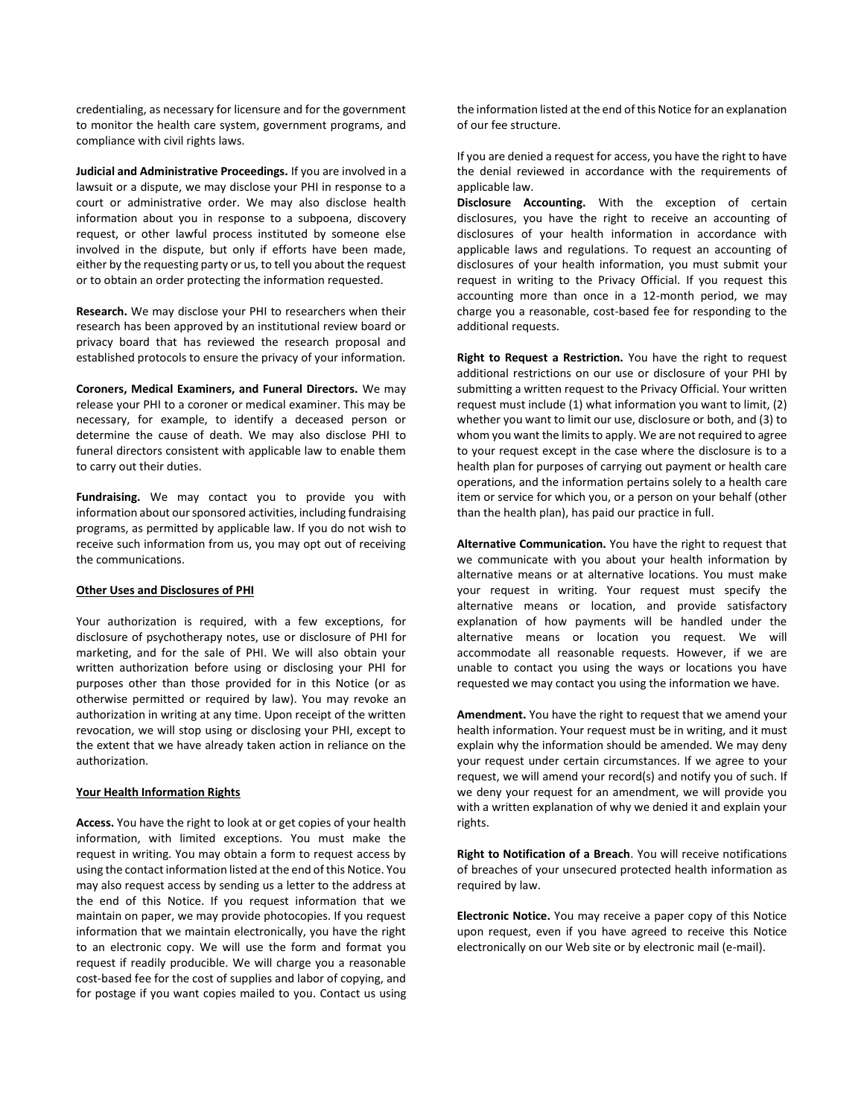credentialing, as necessary for licensure and for the government to monitor the health care system, government programs, and compliance with civil rights laws.

**Judicial and Administrative Proceedings.** If you are involved in a lawsuit or a dispute, we may disclose your PHI in response to a court or administrative order. We may also disclose health information about you in response to a subpoena, discovery request, or other lawful process instituted by someone else involved in the dispute, but only if efforts have been made, either by the requesting party or us, to tell you about the request or to obtain an order protecting the information requested.

**Research.** We may disclose your PHI to researchers when their research has been approved by an institutional review board or privacy board that has reviewed the research proposal and established protocols to ensure the privacy of your information.

**Coroners, Medical Examiners, and Funeral Directors.** We may release your PHI to a coroner or medical examiner. This may be necessary, for example, to identify a deceased person or determine the cause of death. We may also disclose PHI to funeral directors consistent with applicable law to enable them to carry out their duties.

**Fundraising.** We may contact you to provide you with information about our sponsored activities, including fundraising programs, as permitted by applicable law. If you do not wish to receive such information from us, you may opt out of receiving the communications.

#### **Other Uses and Disclosures of PHI**

Your authorization is required, with a few exceptions, for disclosure of psychotherapy notes, use or disclosure of PHI for marketing, and for the sale of PHI. We will also obtain your written authorization before using or disclosing your PHI for purposes other than those provided for in this Notice (or as otherwise permitted or required by law). You may revoke an authorization in writing at any time. Upon receipt of the written revocation, we will stop using or disclosing your PHI, except to the extent that we have already taken action in reliance on the authorization.

#### **Your Health Information Rights**

**Access.** You have the right to look at or get copies of your health information, with limited exceptions. You must make the request in writing. You may obtain a form to request access by using the contact information listed at the end of this Notice. You may also request access by sending us a letter to the address at the end of this Notice. If you request information that we maintain on paper, we may provide photocopies. If you request information that we maintain electronically, you have the right to an electronic copy. We will use the form and format you request if readily producible. We will charge you a reasonable cost-based fee for the cost of supplies and labor of copying, and for postage if you want copies mailed to you. Contact us using the information listed at the end of this Notice for an explanation of our fee structure.

If you are denied a request for access, you have the right to have the denial reviewed in accordance with the requirements of applicable law.

**Disclosure Accounting.** With the exception of certain disclosures, you have the right to receive an accounting of disclosures of your health information in accordance with applicable laws and regulations. To request an accounting of disclosures of your health information, you must submit your request in writing to the Privacy Official. If you request this accounting more than once in a 12-month period, we may charge you a reasonable, cost-based fee for responding to the additional requests.

**Right to Request a Restriction.** You have the right to request additional restrictions on our use or disclosure of your PHI by submitting a written request to the Privacy Official. Your written request must include (1) what information you want to limit, (2) whether you want to limit our use, disclosure or both, and (3) to whom you want the limits to apply. We are not required to agree to your request except in the case where the disclosure is to a health plan for purposes of carrying out payment or health care operations, and the information pertains solely to a health care item or service for which you, or a person on your behalf (other than the health plan), has paid our practice in full.

**Alternative Communication.** You have the right to request that we communicate with you about your health information by alternative means or at alternative locations. You must make your request in writing. Your request must specify the alternative means or location, and provide satisfactory explanation of how payments will be handled under the alternative means or location you request. We will accommodate all reasonable requests. However, if we are unable to contact you using the ways or locations you have requested we may contact you using the information we have.

**Amendment.** You have the right to request that we amend your health information. Your request must be in writing, and it must explain why the information should be amended. We may deny your request under certain circumstances. If we agree to your request, we will amend your record(s) and notify you of such. If we deny your request for an amendment, we will provide you with a written explanation of why we denied it and explain your rights.

**Right to Notification of a Breach**. You will receive notifications of breaches of your unsecured protected health information as required by law.

**Electronic Notice.** You may receive a paper copy of this Notice upon request, even if you have agreed to receive this Notice electronically on our Web site or by electronic mail (e-mail).